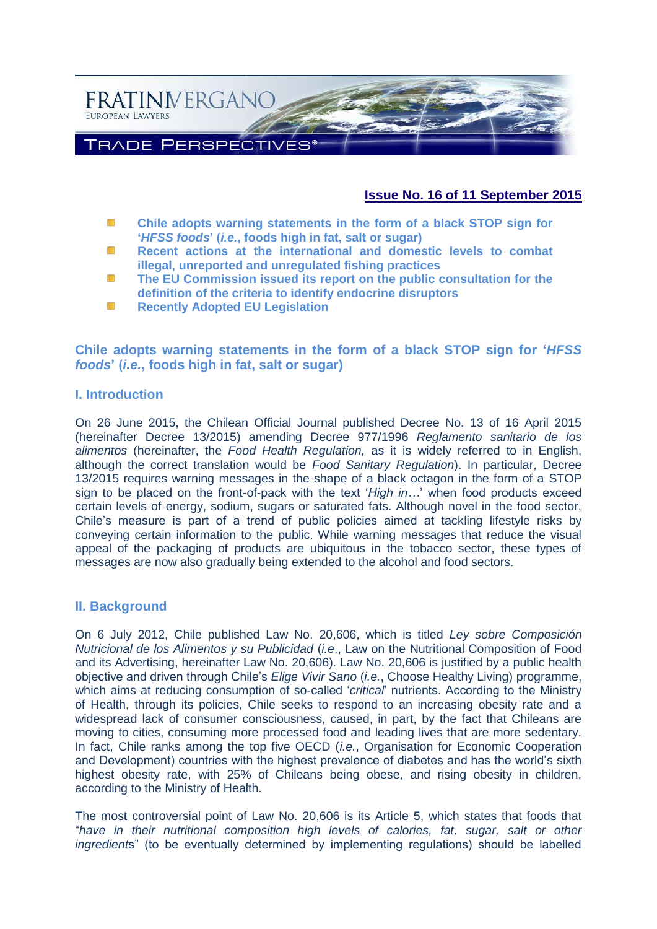

# **Issue No. 16 of 11 September 2015**

- 櫾 **[Chile adopts warning statements in the form of a black STOP sign for](#page-0-0)  '***HFSS foods***' (***i.e.***[, foods high in fat, salt or sugar\)](#page-0-0)**
- SS. **[Recent actions at the international and domestic levels to combat](#page-6-0)  [illegal, unreported and unregulated fishing practices](#page-6-0)**
- 86 **[The EU Commission issued its report on the public consultation for the](#page-8-0)  [definition of the criteria to identify endocrine disruptors](#page-8-0)**
- 存 **[Recently Adopted EU Legislation](#page-10-0)**

<span id="page-0-0"></span>**Chile adopts warning statements in the form of a black STOP sign for '***HFSS foods***' (***i.e.***, foods high in fat, salt or sugar)** 

#### **I. Introduction**

On 26 June 2015, the Chilean Official Journal published Decree No. 13 of 16 April 2015 (hereinafter Decree 13/2015) amending Decree 977/1996 *Reglamento sanitario de los alimentos* (hereinafter, the *Food Health Regulation,* as it is widely referred to in English, although the correct translation would be *Food Sanitary Regulation*). In particular, Decree 13/2015 requires warning messages in the shape of a black octagon in the form of a STOP sign to be placed on the front-of-pack with the text '*High in…*' when food products exceed certain levels of energy, sodium, sugars or saturated fats. Although novel in the food sector, Chile's measure is part of a trend of public policies aimed at tackling lifestyle risks by conveying certain information to the public. While warning messages that reduce the visual appeal of the packaging of products are ubiquitous in the tobacco sector, these types of messages are now also gradually being extended to the alcohol and food sectors.

### **II. Background**

On 6 July 2012, Chile published Law No. 20,606, which is titled *Ley sobre Composición Nutricional de los Alimentos y su Publicidad* (*i.e*., Law on the Nutritional Composition of Food and its Advertising, hereinafter Law No. 20,606). Law No. 20,606 is justified by a public health objective and driven through Chile's *Elige Vivir Sano* (*i.e.*, Choose Healthy Living) programme, which aims at reducing consumption of so-called '*critical*' nutrients. According to the Ministry of Health, through its policies, Chile seeks to respond to an increasing obesity rate and a widespread lack of consumer consciousness, caused, in part, by the fact that Chileans are moving to cities, consuming more processed food and leading lives that are more sedentary. In fact, Chile ranks among the top five OECD (*i.e.*, Organisation for Economic Cooperation and Development) countries with the highest prevalence of diabetes and has the world's sixth highest obesity rate, with 25% of Chileans being obese, and rising obesity in children, according to the Ministry of Health.

The most controversial point of Law No. 20,606 is its Article 5, which states that foods that "*have in their nutritional composition high levels of calories, fat, sugar, salt or other ingredient*s" (to be eventually determined by implementing regulations) should be labelled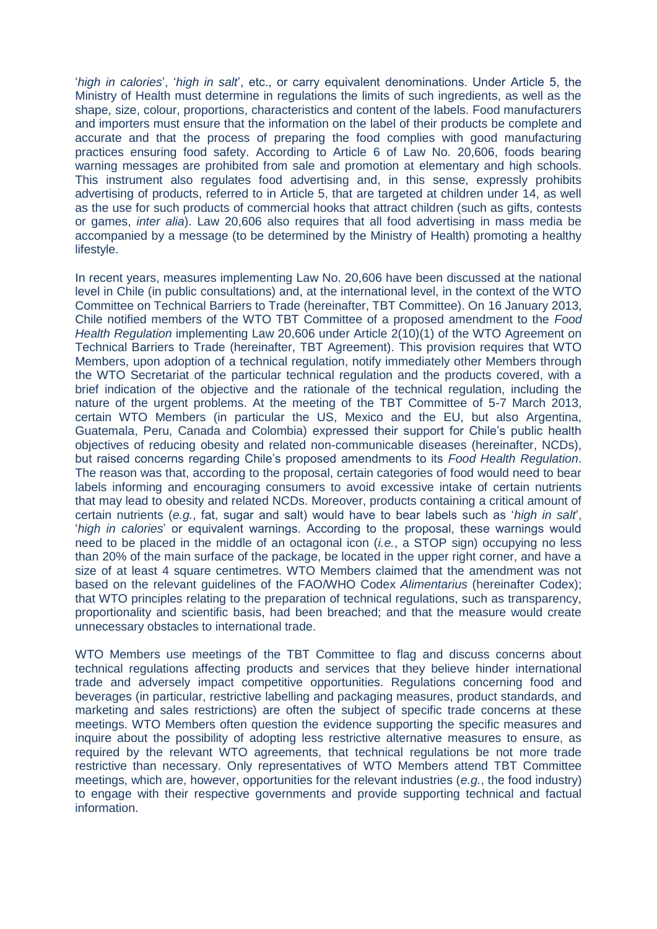'*high in calories*', '*high in salt*', etc., or carry equivalent denominations. Under Article 5, the Ministry of Health must determine in regulations the limits of such ingredients, as well as the shape, size, colour, proportions, characteristics and content of the labels. Food manufacturers and importers must ensure that the information on the label of their products be complete and accurate and that the process of preparing the food complies with good manufacturing practices ensuring food safety. According to Article 6 of Law No. 20,606, foods bearing warning messages are prohibited from sale and promotion at elementary and high schools. This instrument also regulates food advertising and, in this sense, expressly prohibits advertising of products, referred to in Article 5, that are targeted at children under 14, as well as the use for such products of commercial hooks that attract children (such as gifts, contests or games, *inter alia*). Law 20,606 also requires that all food advertising in mass media be accompanied by a message (to be determined by the Ministry of Health) promoting a healthy lifestyle.

In recent years, measures implementing Law No. 20,606 have been discussed at the national level in Chile (in public consultations) and, at the international level, in the context of the WTO Committee on Technical Barriers to Trade (hereinafter, TBT Committee). On 16 January 2013, Chile notified members of the WTO TBT Committee of a proposed amendment to the *Food Health Regulation* implementing Law 20,606 under Article 2(10)(1) of the WTO Agreement on Technical Barriers to Trade (hereinafter, TBT Agreement). This provision requires that WTO Members, upon adoption of a technical regulation, notify immediately other Members through the WTO Secretariat of the particular technical regulation and the products covered, with a brief indication of the objective and the rationale of the technical regulation, including the nature of the urgent problems. At the meeting of the TBT Committee of 5-7 March 2013, certain WTO Members (in particular the US, Mexico and the EU, but also Argentina, Guatemala, Peru, Canada and Colombia) expressed their support for Chile's public health objectives of reducing obesity and related non-communicable diseases (hereinafter, NCDs), but raised concerns regarding Chile's proposed amendments to its *Food Health Regulation*. The reason was that, according to the proposal, certain categories of food would need to bear labels informing and encouraging consumers to avoid excessive intake of certain nutrients that may lead to obesity and related NCDs. Moreover, products containing a critical amount of certain nutrients (*e.g.*, fat, sugar and salt) would have to bear labels such as '*high in salt*', '*high in calories*' or equivalent warnings. According to the proposal, these warnings would need to be placed in the middle of an octagonal icon (*i.e.*, a STOP sign) occupying no less than 20% of the main surface of the package, be located in the upper right corner, and have a size of at least 4 square centimetres. WTO Members claimed that the amendment was not based on the relevant guidelines of the FAO/WHO Codex *Alimentarius* (hereinafter Codex); that WTO principles relating to the preparation of technical regulations, such as transparency, proportionality and scientific basis, had been breached; and that the measure would create unnecessary obstacles to international trade.

WTO Members use meetings of the TBT Committee to flag and discuss concerns about technical regulations affecting products and services that they believe hinder international trade and adversely impact competitive opportunities. Regulations concerning food and beverages (in particular, restrictive labelling and packaging measures, product standards, and marketing and sales restrictions) are often the subject of specific trade concerns at these meetings. WTO Members often question the evidence supporting the specific measures and inquire about the possibility of adopting less restrictive alternative measures to ensure, as required by the relevant WTO agreements, that technical regulations be not more trade restrictive than necessary. Only representatives of WTO Members attend TBT Committee meetings, which are, however, opportunities for the relevant industries (*e.g.*, the food industry) to engage with their respective governments and provide supporting technical and factual information.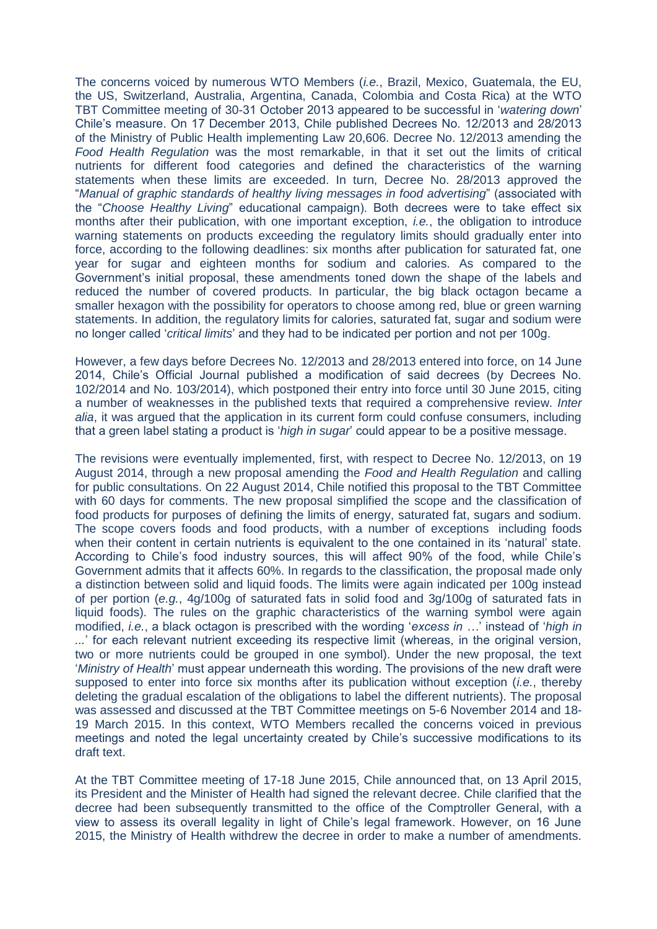The concerns voiced by numerous WTO Members (*i.e.*, Brazil, Mexico, Guatemala, the EU, the US, Switzerland, Australia, Argentina, Canada, Colombia and Costa Rica) at the WTO TBT Committee meeting of 30-31 October 2013 appeared to be successful in '*watering down*' Chile's measure. On 17 December 2013, Chile published Decrees No. 12/2013 and 28/2013 of the Ministry of Public Health implementing Law 20,606. Decree No. 12/2013 amending the *Food Health Regulation* was the most remarkable, in that it set out the limits of critical nutrients for different food categories and defined the characteristics of the warning statements when these limits are exceeded. In turn, Decree No. 28/2013 approved the "*Manual of graphic standards of healthy living messages in food advertising*" (associated with the "*Choose Healthy Living*" educational campaign). Both decrees were to take effect six months after their publication, with one important exception, *i.e.*, the obligation to introduce warning statements on products exceeding the regulatory limits should gradually enter into force, according to the following deadlines: six months after publication for saturated fat, one year for sugar and eighteen months for sodium and calories. As compared to the Government's initial proposal, these amendments toned down the shape of the labels and reduced the number of covered products. In particular, the big black octagon became a smaller hexagon with the possibility for operators to choose among red, blue or green warning statements. In addition, the regulatory limits for calories, saturated fat, sugar and sodium were no longer called '*critical limits*' and they had to be indicated per portion and not per 100g.

However, a few days before Decrees No. 12/2013 and 28/2013 entered into force, on 14 June 2014, Chile's Official Journal published a modification of said decrees (by Decrees No. 102/2014 and No. 103/2014), which postponed their entry into force until 30 June 2015, citing a number of weaknesses in the published texts that required a comprehensive review. *Inter alia*, it was argued that the application in its current form could confuse consumers, including that a green label stating a product is '*high in sugar*' could appear to be a positive message.

The revisions were eventually implemented, first, with respect to Decree No. 12/2013, on 19 August 2014, through a new proposal amending the *Food and Health Regulation* and calling for public consultations. On 22 August 2014, Chile notified this proposal to the TBT Committee with 60 days for comments. The new proposal simplified the scope and the classification of food products for purposes of defining the limits of energy, saturated fat, sugars and sodium. The scope covers foods and food products, with a number of exceptions including foods when their content in certain nutrients is equivalent to the one contained in its 'natural' state. According to Chile's food industry sources, this will affect 90% of the food, while Chile's Government admits that it affects 60%. In regards to the classification, the proposal made only a distinction between solid and liquid foods. The limits were again indicated per 100g instead of per portion (*e.g.*, 4g/100g of saturated fats in solid food and 3g/100g of saturated fats in liquid foods). The rules on the graphic characteristics of the warning symbol were again modified, *i.e.*, a black octagon is prescribed with the wording '*excess in …*' instead of '*high in ...*' for each relevant nutrient exceeding its respective limit (whereas, in the original version, two or more nutrients could be grouped in one symbol). Under the new proposal, the text '*Ministry of Health*' must appear underneath this wording. The provisions of the new draft were supposed to enter into force six months after its publication without exception (*i.e.*, thereby deleting the gradual escalation of the obligations to label the different nutrients). The proposal was assessed and discussed at the TBT Committee meetings on 5-6 November 2014 and 18- 19 March 2015. In this context, WTO Members recalled the concerns voiced in previous meetings and noted the legal uncertainty created by Chile's successive modifications to its draft text.

At the TBT Committee meeting of 17-18 June 2015, Chile announced that, on 13 April 2015, its President and the Minister of Health had signed the relevant decree. Chile clarified that the decree had been subsequently transmitted to the office of the Comptroller General, with a view to assess its overall legality in light of Chile's legal framework. However, on 16 June 2015, the Ministry of Health withdrew the decree in order to make a number of amendments.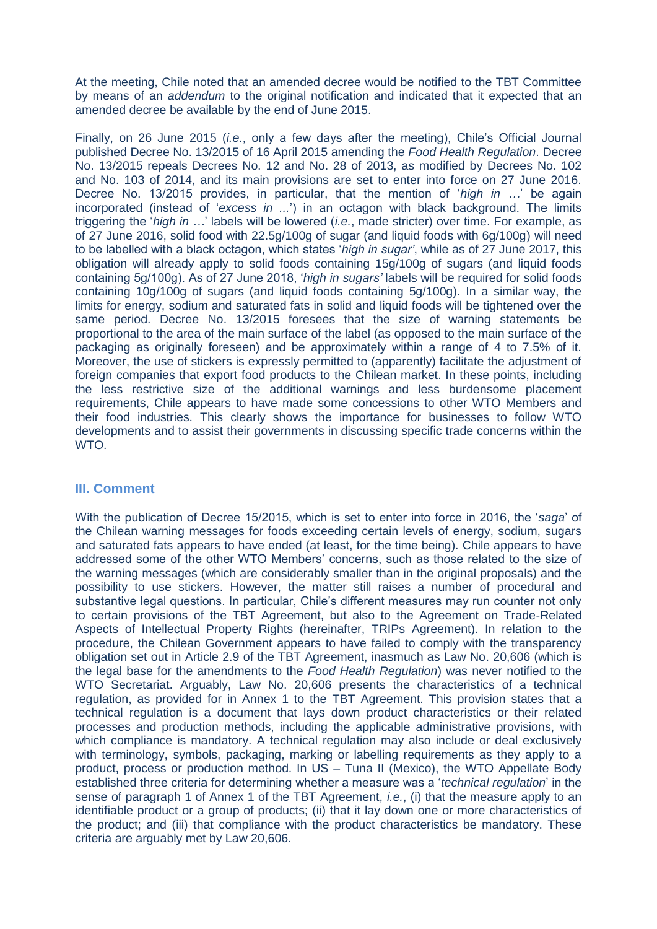At the meeting, Chile noted that an amended decree would be notified to the TBT Committee by means of an *addendum* to the original notification and indicated that it expected that an amended decree be available by the end of June 2015.

Finally, on 26 June 2015 (*i.e.*, only a few days after the meeting), Chile's Official Journal published Decree No. 13/2015 of 16 April 2015 amending the *Food Health Regulation*. Decree No. 13/2015 repeals Decrees No. 12 and No. 28 of 2013, as modified by Decrees No. 102 and No. 103 of 2014, and its main provisions are set to enter into force on 27 June 2016. Decree No. 13/2015 provides, in particular, that the mention of '*high in …*' be again incorporated (instead of '*excess in ...*') in an octagon with black background. The limits triggering the '*high in …*' labels will be lowered (*i.e.*, made stricter) over time. For example, as of 27 June 2016, solid food with 22.5g/100g of sugar (and liquid foods with 6g/100g) will need to be labelled with a black octagon, which states '*high in sugar'*, while as of 27 June 2017, this obligation will already apply to solid foods containing 15g/100g of sugars (and liquid foods containing 5g/100g). As of 27 June 2018, '*high in sugars'* labels will be required for solid foods containing 10g/100g of sugars (and liquid foods containing 5g/100g). In a similar way, the limits for energy, sodium and saturated fats in solid and liquid foods will be tightened over the same period. Decree No. 13/2015 foresees that the size of warning statements be proportional to the area of the main surface of the label (as opposed to the main surface of the packaging as originally foreseen) and be approximately within a range of 4 to 7.5% of it. Moreover, the use of stickers is expressly permitted to (apparently) facilitate the adjustment of foreign companies that export food products to the Chilean market. In these points, including the less restrictive size of the additional warnings and less burdensome placement requirements, Chile appears to have made some concessions to other WTO Members and their food industries. This clearly shows the importance for businesses to follow WTO developments and to assist their governments in discussing specific trade concerns within the WTO.

### **III. Comment**

With the publication of Decree 15/2015, which is set to enter into force in 2016, the '*saga*' of the Chilean warning messages for foods exceeding certain levels of energy, sodium, sugars and saturated fats appears to have ended (at least, for the time being). Chile appears to have addressed some of the other WTO Members' concerns, such as those related to the size of the warning messages (which are considerably smaller than in the original proposals) and the possibility to use stickers. However, the matter still raises a number of procedural and substantive legal questions. In particular, Chile's different measures may run counter not only to certain provisions of the TBT Agreement, but also to the Agreement on Trade-Related Aspects of Intellectual Property Rights (hereinafter, TRIPs Agreement). In relation to the procedure, the Chilean Government appears to have failed to comply with the transparency obligation set out in Article 2.9 of the TBT Agreement, inasmuch as Law No. 20,606 (which is the legal base for the amendments to the *Food Health Regulation*) was never notified to the WTO Secretariat. Arguably, Law No. 20,606 presents the characteristics of a technical regulation, as provided for in Annex 1 to the TBT Agreement. This provision states that a technical regulation is a document that lays down product characteristics or their related processes and production methods, including the applicable administrative provisions, with which compliance is mandatory. A technical regulation may also include or deal exclusively with terminology, symbols, packaging, marking or labelling requirements as they apply to a product, process or production method. In US – Tuna II (Mexico), the WTO Appellate Body established three criteria for determining whether a measure was a '*technical regulation*' in the sense of paragraph 1 of Annex 1 of the TBT Agreement, *i.e.*, (i) that the measure apply to an identifiable product or a group of products; (ii) that it lay down one or more characteristics of the product; and (iii) that compliance with the product characteristics be mandatory. These criteria are arguably met by Law 20,606.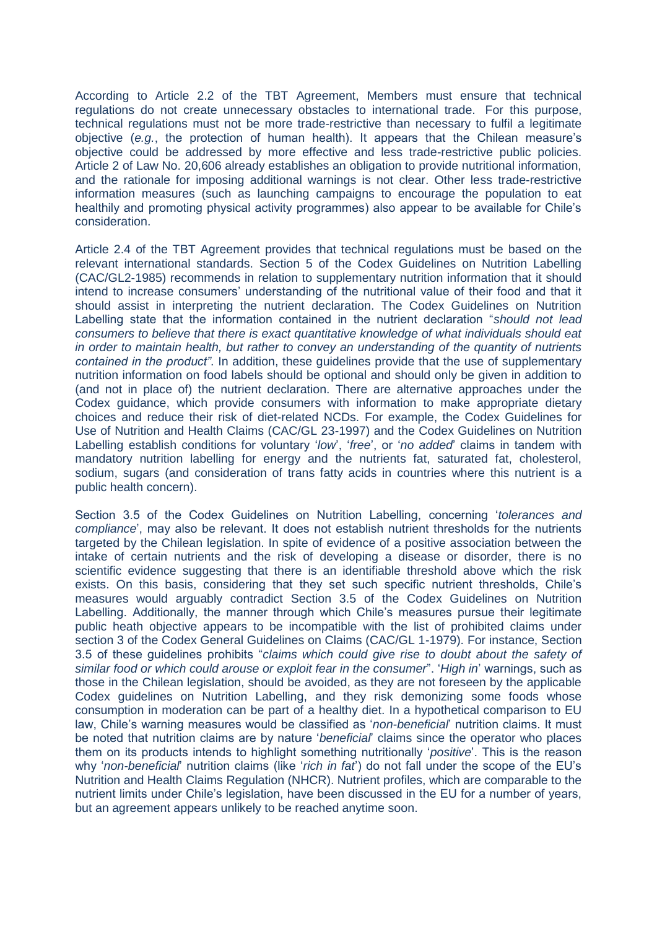According to Article 2.2 of the TBT Agreement, Members must ensure that technical regulations do not create unnecessary obstacles to international trade. For this purpose, technical regulations must not be more trade-restrictive than necessary to fulfil a legitimate objective (*e.g.*, the protection of human health). It appears that the Chilean measure's objective could be addressed by more effective and less trade-restrictive public policies. Article 2 of Law No. 20,606 already establishes an obligation to provide nutritional information, and the rationale for imposing additional warnings is not clear. Other less trade-restrictive information measures (such as launching campaigns to encourage the population to eat healthily and promoting physical activity programmes) also appear to be available for Chile's consideration.

Article 2.4 of the TBT Agreement provides that technical regulations must be based on the relevant international standards. Section 5 of the Codex Guidelines on Nutrition Labelling (CAC/GL2-1985) recommends in relation to supplementary nutrition information that it should intend to increase consumers' understanding of the nutritional value of their food and that it should assist in interpreting the nutrient declaration. The Codex Guidelines on Nutrition Labelling state that the information contained in the nutrient declaration "*should not lead consumers to believe that there is exact quantitative knowledge of what individuals should eat in order to maintain health, but rather to convey an understanding of the quantity of nutrients contained in the product"*. In addition, these guidelines provide that the use of supplementary nutrition information on food labels should be optional and should only be given in addition to (and not in place of) the nutrient declaration. There are alternative approaches under the Codex guidance, which provide consumers with information to make appropriate dietary choices and reduce their risk of diet-related NCDs. For example, the Codex Guidelines for Use of Nutrition and Health Claims (CAC/GL 23-1997) and the Codex Guidelines on Nutrition Labelling establish conditions for voluntary '*low*', '*free*', or '*no added*' claims in tandem with mandatory nutrition labelling for energy and the nutrients fat, saturated fat, cholesterol, sodium, sugars (and consideration of trans fatty acids in countries where this nutrient is a public health concern).

Section 3.5 of the Codex Guidelines on Nutrition Labelling, concerning '*tolerances and compliance*', may also be relevant. It does not establish nutrient thresholds for the nutrients targeted by the Chilean legislation. In spite of evidence of a positive association between the intake of certain nutrients and the risk of developing a disease or disorder, there is no scientific evidence suggesting that there is an identifiable threshold above which the risk exists. On this basis, considering that they set such specific nutrient thresholds, Chile's measures would arguably contradict Section 3.5 of the Codex Guidelines on Nutrition Labelling. Additionally, the manner through which Chile's measures pursue their legitimate public heath objective appears to be incompatible with the list of prohibited claims under section 3 of the Codex General Guidelines on Claims (CAC/GL 1-1979). For instance, Section 3.5 of these guidelines prohibits "*claims which could give rise to doubt about the safety of similar food or which could arouse or exploit fear in the consumer*". '*High in*' warnings, such as those in the Chilean legislation, should be avoided, as they are not foreseen by the applicable Codex guidelines on Nutrition Labelling, and they risk demonizing some foods whose consumption in moderation can be part of a healthy diet. In a hypothetical comparison to EU law, Chile's warning measures would be classified as '*non-beneficial*' nutrition claims. It must be noted that nutrition claims are by nature '*beneficial*' claims since the operator who places them on its products intends to highlight something nutritionally '*positive*'. This is the reason why '*non-beneficial*' nutrition claims (like '*rich in fat*') do not fall under the scope of the EU's Nutrition and Health Claims Regulation (NHCR). Nutrient profiles, which are comparable to the nutrient limits under Chile's legislation, have been discussed in the EU for a number of years, but an agreement appears unlikely to be reached anytime soon.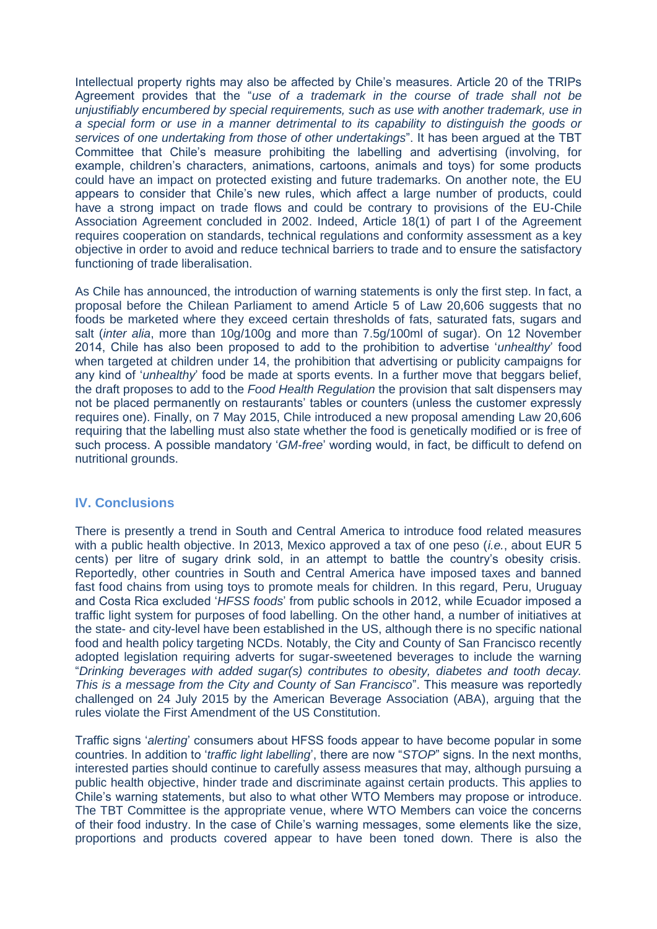Intellectual property rights may also be affected by Chile's measures. Article 20 of the TRIPs Agreement provides that the "*use of a trademark in the course of trade shall not be unjustifiably encumbered by special requirements, such as use with another trademark, use in a special form or use in a manner detrimental to its capability to distinguish the goods or services of one undertaking from those of other undertakings*". It has been argued at the TBT Committee that Chile's measure prohibiting the labelling and advertising (involving, for example, children's characters, animations, cartoons, animals and toys) for some products could have an impact on protected existing and future trademarks. On another note, the EU appears to consider that Chile's new rules, which affect a large number of products, could have a strong impact on trade flows and could be contrary to provisions of the EU-Chile Association Agreement concluded in 2002. Indeed, Article 18(1) of part I of the Agreement requires cooperation on standards, technical regulations and conformity assessment as a key objective in order to avoid and reduce technical barriers to trade and to ensure the satisfactory functioning of trade liberalisation.

As Chile has announced, the introduction of warning statements is only the first step. In fact, a proposal before the Chilean Parliament to amend Article 5 of Law 20,606 suggests that no foods be marketed where they exceed certain thresholds of fats, saturated fats, sugars and salt (*inter alia*, more than 10g/100g and more than 7.5g/100ml of sugar). On 12 November 2014, Chile has also been proposed to add to the prohibition to advertise '*unhealthy*' food when targeted at children under 14, the prohibition that advertising or publicity campaigns for any kind of '*unhealthy*' food be made at sports events. In a further move that beggars belief, the draft proposes to add to the *Food Health Regulation* the provision that salt dispensers may not be placed permanently on restaurants' tables or counters (unless the customer expressly requires one). Finally, on 7 May 2015, Chile introduced a new proposal amending Law 20,606 requiring that the labelling must also state whether the food is genetically modified or is free of such process. A possible mandatory '*GM-free*' wording would, in fact, be difficult to defend on nutritional grounds.

### **IV. Conclusions**

There is presently a trend in South and Central America to introduce food related measures with a public health objective. In 2013, Mexico approved a tax of one peso (*i.e.*, about EUR 5 cents) per litre of sugary drink sold, in an attempt to battle the country's obesity crisis. Reportedly, other countries in South and Central America have imposed taxes and banned fast food chains from using toys to promote meals for children. In this regard, Peru, Uruguay and Costa Rica excluded '*HFSS foods*' from public schools in 2012, while Ecuador imposed a traffic light system for purposes of food labelling. On the other hand, a number of initiatives at the state- and city-level have been established in the US, although there is no specific national food and health policy targeting NCDs. Notably, the City and County of San Francisco recently adopted legislation requiring adverts for sugar-sweetened beverages to include the warning "*Drinking beverages with added sugar(s) contributes to obesity, diabetes and tooth decay. This is a message from the City and County of San Francisco*". This measure was reportedly challenged on 24 July 2015 by the American Beverage Association (ABA), arguing that the rules violate the First Amendment of the US Constitution.

Traffic signs '*alerting*' consumers about HFSS foods appear to have become popular in some countries. In addition to '*traffic light labelling*', there are now "*STOP*" signs. In the next months, interested parties should continue to carefully assess measures that may, although pursuing a public health objective, hinder trade and discriminate against certain products. This applies to Chile's warning statements, but also to what other WTO Members may propose or introduce. The TBT Committee is the appropriate venue, where WTO Members can voice the concerns of their food industry. In the case of Chile's warning messages, some elements like the size, proportions and products covered appear to have been toned down. There is also the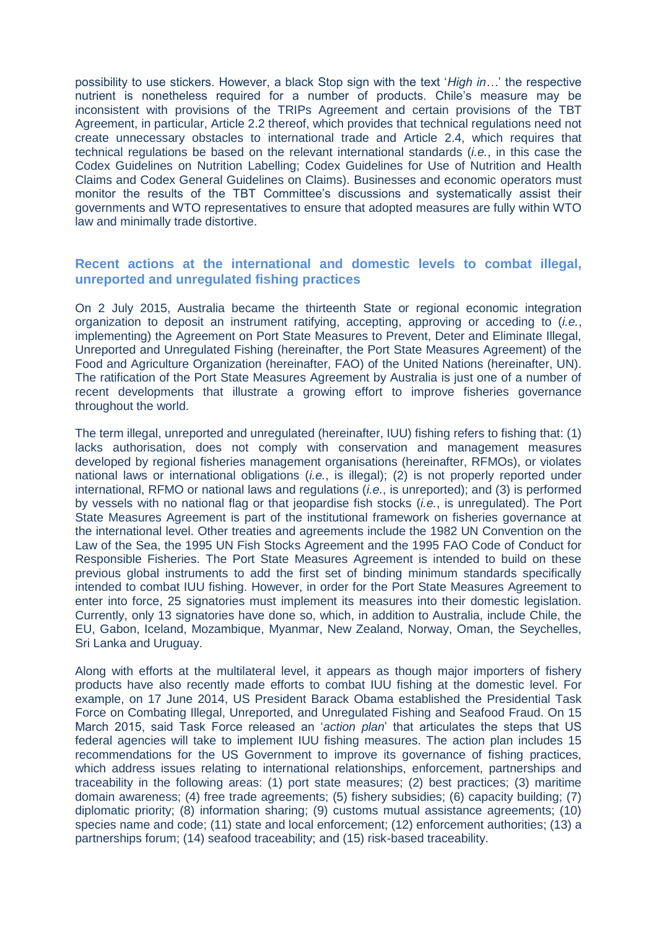possibility to use stickers. However, a black Stop sign with the text '*High in…*' the respective nutrient is nonetheless required for a number of products. Chile's measure may be inconsistent with provisions of the TRIPs Agreement and certain provisions of the TBT Agreement, in particular, Article 2.2 thereof, which provides that technical regulations need not create unnecessary obstacles to international trade and Article 2.4, which requires that technical regulations be based on the relevant international standards (*i.e.*, in this case the Codex Guidelines on Nutrition Labelling; Codex Guidelines for Use of Nutrition and Health Claims and Codex General Guidelines on Claims). Businesses and economic operators must monitor the results of the TBT Committee's discussions and systematically assist their governments and WTO representatives to ensure that adopted measures are fully within WTO law and minimally trade distortive.

### <span id="page-6-0"></span>**Recent actions at the international and domestic levels to combat illegal, unreported and unregulated fishing practices**

On 2 July 2015, Australia became the thirteenth State or regional economic integration organization to deposit an instrument ratifying, accepting, approving or acceding to (*i.e.*, implementing) the Agreement on Port State Measures to Prevent, Deter and Eliminate Illegal, Unreported and Unregulated Fishing (hereinafter, the Port State Measures Agreement) of the Food and Agriculture Organization (hereinafter, FAO) of the United Nations (hereinafter, UN). The ratification of the Port State Measures Agreement by Australia is just one of a number of recent developments that illustrate a growing effort to improve fisheries governance throughout the world.

The term illegal, unreported and unregulated (hereinafter, IUU) fishing refers to fishing that: (1) lacks authorisation, does not comply with conservation and management measures developed by regional fisheries management organisations (hereinafter, RFMOs), or violates national laws or international obligations (*i.e.*, is illegal); (2) is not properly reported under international, RFMO or national laws and regulations (*i.e.*, is unreported); and (3) is performed by vessels with no national flag or that jeopardise fish stocks (*i.e.*, is unregulated). The Port State Measures Agreement is part of the institutional framework on fisheries governance at the international level. Other treaties and agreements include the 1982 UN Convention on the Law of the Sea, the 1995 UN Fish Stocks Agreement and the 1995 FAO Code of Conduct for Responsible Fisheries. The Port State Measures Agreement is intended to build on these previous global instruments to add the first set of binding minimum standards specifically intended to combat IUU fishing. However, in order for the Port State Measures Agreement to enter into force, 25 signatories must implement its measures into their domestic legislation. Currently, only 13 signatories have done so, which, in addition to Australia, include Chile, the EU, Gabon, Iceland, Mozambique, Myanmar, New Zealand, Norway, Oman, the Seychelles, Sri Lanka and Uruguay.

Along with efforts at the multilateral level, it appears as though major importers of fishery products have also recently made efforts to combat IUU fishing at the domestic level. For example, on 17 June 2014, US President Barack Obama established the Presidential Task Force on Combating Illegal, Unreported, and Unregulated Fishing and Seafood Fraud. On 15 March 2015, said Task Force released an '*action plan*' that articulates the steps that US federal agencies will take to implement IUU fishing measures. The action plan includes 15 recommendations for the US Government to improve its governance of fishing practices, which address issues relating to international relationships, enforcement, partnerships and traceability in the following areas: (1) port state measures; (2) best practices; (3) maritime domain awareness; (4) free trade agreements; (5) fishery subsidies; (6) capacity building; (7) diplomatic priority; (8) information sharing; (9) customs mutual assistance agreements; (10) species name and code; (11) state and local enforcement; (12) enforcement authorities; (13) a partnerships forum; (14) seafood traceability; and (15) risk-based traceability.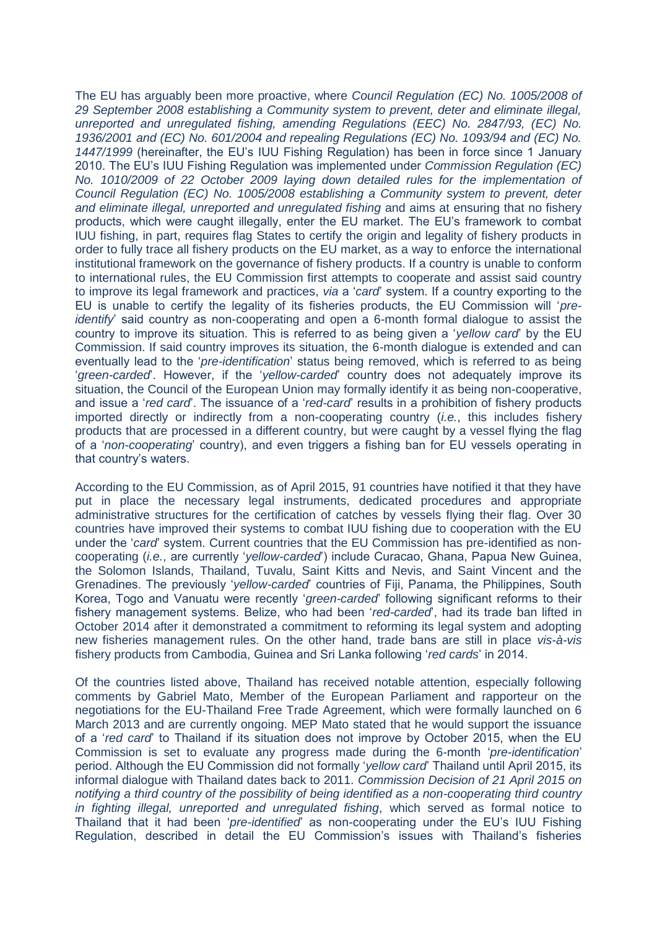The EU has arguably been more proactive, where *Council Regulation (EC) No. 1005/2008 of 29 September 2008 establishing a Community system to prevent, deter and eliminate illegal, unreported and unregulated fishing, amending Regulations (EEC) No. 2847/93, (EC) No. 1936/2001 and (EC) No. 601/2004 and repealing Regulations (EC) No. 1093/94 and (EC) No. 1447/1999* (hereinafter, the EU's IUU Fishing Regulation) has been in force since 1 January 2010. The EU's IUU Fishing Regulation was implemented under *Commission Regulation (EC) No. 1010/2009 of 22 October 2009 laying down detailed rules for the implementation of Council Regulation (EC) No. 1005/2008 establishing a Community system to prevent, deter and eliminate illegal, unreported and unregulated fishing* and aims at ensuring that no fishery products, which were caught illegally, enter the EU market. The EU's framework to combat IUU fishing, in part, requires flag States to certify the origin and legality of fishery products in order to fully trace all fishery products on the EU market, as a way to enforce the international institutional framework on the governance of fishery products. If a country is unable to conform to international rules, the EU Commission first attempts to cooperate and assist said country to improve its legal framework and practices, *via* a '*card*' system. If a country exporting to the EU is unable to certify the legality of its fisheries products, the EU Commission will '*preidentify*' said country as non-cooperating and open a 6-month formal dialogue to assist the country to improve its situation. This is referred to as being given a '*yellow card*' by the EU Commission. If said country improves its situation, the 6-month dialogue is extended and can eventually lead to the '*pre-identification*' status being removed, which is referred to as being '*green-carded*'. However, if the '*yellow-carded*' country does not adequately improve its situation, the Council of the European Union may formally identify it as being non-cooperative, and issue a '*red card*'. The issuance of a '*red-card*' results in a prohibition of fishery products imported directly or indirectly from a non-cooperating country (*i.e.*, this includes fishery products that are processed in a different country, but were caught by a vessel flying the flag of a '*non-cooperating*' country), and even triggers a fishing ban for EU vessels operating in that country's waters.

According to the EU Commission, as of April 2015, 91 countries have notified it that they have put in place the necessary legal instruments, dedicated procedures and appropriate administrative structures for the certification of catches by vessels flying their flag. Over 30 countries have improved their systems to combat IUU fishing due to cooperation with the EU under the '*card*' system. Current countries that the EU Commission has pre-identified as noncooperating (*i.e.*, are currently '*yellow-carded*') include Curacao, Ghana, Papua New Guinea, the Solomon Islands, Thailand, Tuvalu, Saint Kitts and Nevis, and Saint Vincent and the Grenadines. The previously '*yellow-carded*' countries of Fiji, Panama, the Philippines, South Korea, Togo and Vanuatu were recently '*green-carded*' following significant reforms to their fishery management systems. Belize, who had been '*red-carded*', had its trade ban lifted in October 2014 after it demonstrated a commitment to reforming its legal system and adopting new fisheries management rules. On the other hand, trade bans are still in place *vis-à-vis* fishery products from Cambodia, Guinea and Sri Lanka following '*red cards*' in 2014.

Of the countries listed above, Thailand has received notable attention, especially following comments by Gabriel Mato, Member of the European Parliament and rapporteur on the negotiations for the EU-Thailand Free Trade Agreement, which were formally launched on 6 March 2013 and are currently ongoing. MEP Mato stated that he would support the issuance of a '*red card*' to Thailand if its situation does not improve by October 2015, when the EU Commission is set to evaluate any progress made during the 6-month '*pre-identification*' period. Although the EU Commission did not formally '*yellow card*' Thailand until April 2015, its informal dialogue with Thailand dates back to 2011. *Commission Decision of 21 April 2015 on notifying a third country of the possibility of being identified as a non-cooperating third country in fighting illegal, unreported and unregulated fishing*, which served as formal notice to Thailand that it had been '*pre-identified*' as non-cooperating under the EU's IUU Fishing Regulation, described in detail the EU Commission's issues with Thailand's fisheries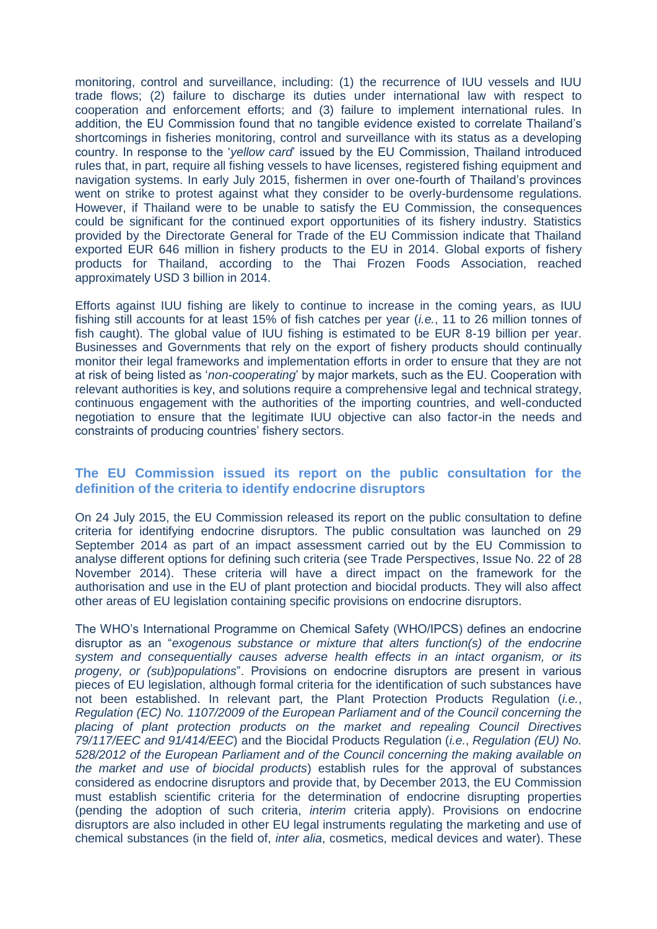monitoring, control and surveillance, including: (1) the recurrence of IUU vessels and IUU trade flows; (2) failure to discharge its duties under international law with respect to cooperation and enforcement efforts; and (3) failure to implement international rules. In addition, the EU Commission found that no tangible evidence existed to correlate Thailand's shortcomings in fisheries monitoring, control and surveillance with its status as a developing country. In response to the '*yellow card*' issued by the EU Commission, Thailand introduced rules that, in part, require all fishing vessels to have licenses, registered fishing equipment and navigation systems. In early July 2015, fishermen in over one-fourth of Thailand's provinces went on strike to protest against what they consider to be overly-burdensome regulations. However, if Thailand were to be unable to satisfy the EU Commission, the consequences could be significant for the continued export opportunities of its fishery industry. Statistics provided by the Directorate General for Trade of the EU Commission indicate that Thailand exported EUR 646 million in fishery products to the EU in 2014. Global exports of fishery products for Thailand, according to the Thai Frozen Foods Association, reached approximately USD 3 billion in 2014.

Efforts against IUU fishing are likely to continue to increase in the coming years, as IUU fishing still accounts for at least 15% of fish catches per year (*i.e.*, 11 to 26 million tonnes of fish caught). The global value of IUU fishing is estimated to be EUR 8-19 billion per year. Businesses and Governments that rely on the export of fishery products should continually monitor their legal frameworks and implementation efforts in order to ensure that they are not at risk of being listed as '*non-cooperating*' by major markets, such as the EU. Cooperation with relevant authorities is key, and solutions require a comprehensive legal and technical strategy, continuous engagement with the authorities of the importing countries, and well-conducted negotiation to ensure that the legitimate IUU objective can also factor-in the needs and constraints of producing countries' fishery sectors.

### <span id="page-8-0"></span>**The EU Commission issued its report on the public consultation for the definition of the criteria to identify endocrine disruptors**

On 24 July 2015, the EU Commission released its report on the public consultation to define criteria for identifying endocrine disruptors. The public consultation was launched on 29 September 2014 as part of an impact assessment carried out by the EU Commission to analyse different options for defining such criteria (see Trade Perspectives, Issue No. 22 of 28 November 2014). These criteria will have a direct impact on the framework for the authorisation and use in the EU of plant protection and biocidal products. They will also affect other areas of EU legislation containing specific provisions on endocrine disruptors.

The WHO's International Programme on Chemical Safety (WHO/IPCS) defines an endocrine disruptor as an "*exogenous substance or mixture that alters function(s) of the endocrine system and consequentially causes adverse health effects in an intact organism, or its progeny, or (sub)populations*". Provisions on endocrine disruptors are present in various pieces of EU legislation, although formal criteria for the identification of such substances have not been established. In relevant part, the Plant Protection Products Regulation (*i.e.*, *Regulation (EC) No. 1107/2009 of the European Parliament and of the Council concerning the placing of plant protection products on the market and repealing Council Directives 79/117/EEC and 91/414/EEC*) and the Biocidal Products Regulation (*i.e.*, *Regulation (EU) No. 528/2012 of the European Parliament and of the Council concerning the making available on the market and use of biocidal products*) establish rules for the approval of substances considered as endocrine disruptors and provide that, by December 2013, the EU Commission must establish scientific criteria for the determination of endocrine disrupting properties (pending the adoption of such criteria, *interim* criteria apply). Provisions on endocrine disruptors are also included in other EU legal instruments regulating the marketing and use of chemical substances (in the field of, *inter alia*, cosmetics, medical devices and water). These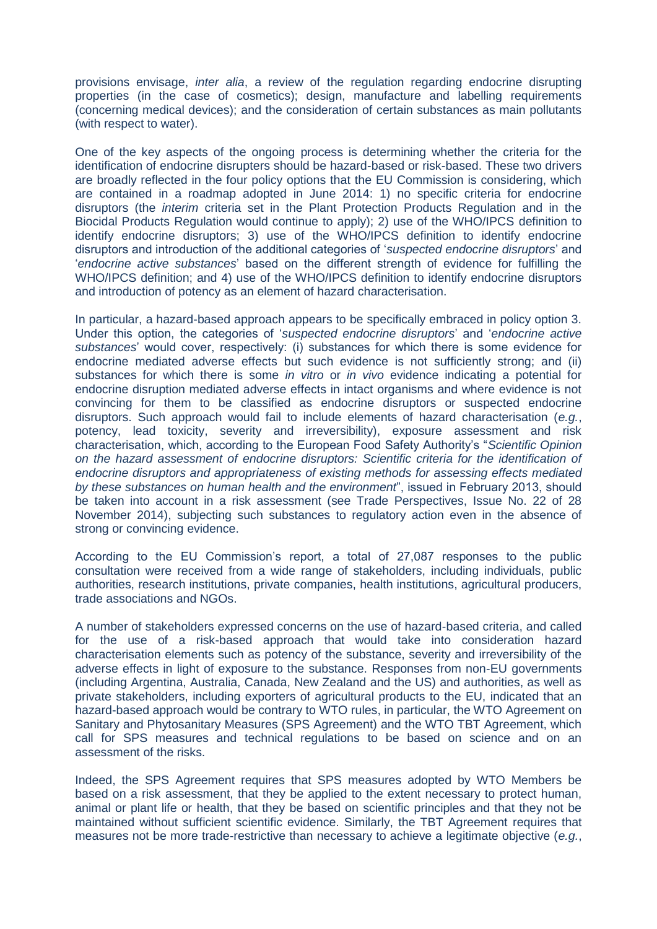provisions envisage, *inter alia*, a review of the regulation regarding endocrine disrupting properties (in the case of cosmetics); design, manufacture and labelling requirements (concerning medical devices); and the consideration of certain substances as main pollutants (with respect to water).

One of the key aspects of the ongoing process is determining whether the criteria for the identification of endocrine disrupters should be hazard-based or risk-based. These two drivers are broadly reflected in the four policy options that the EU Commission is considering, which are contained in a roadmap adopted in June 2014: 1) no specific criteria for endocrine disruptors (the *interim* criteria set in the Plant Protection Products Regulation and in the Biocidal Products Regulation would continue to apply); 2) use of the WHO/IPCS definition to identify endocrine disruptors; 3) use of the WHO/IPCS definition to identify endocrine disruptors and introduction of the additional categories of '*suspected endocrine disruptors*' and '*endocrine active substances*' based on the different strength of evidence for fulfilling the WHO/IPCS definition; and 4) use of the WHO/IPCS definition to identify endocrine disruptors and introduction of potency as an element of hazard characterisation.

In particular, a hazard-based approach appears to be specifically embraced in policy option 3. Under this option, the categories of '*suspected endocrine disruptors*' and '*endocrine active substances*' would cover, respectively: (i) substances for which there is some evidence for endocrine mediated adverse effects but such evidence is not sufficiently strong; and (ii) substances for which there is some *in vitro* or *in vivo* evidence indicating a potential for endocrine disruption mediated adverse effects in intact organisms and where evidence is not convincing for them to be classified as endocrine disruptors or suspected endocrine disruptors. Such approach would fail to include elements of hazard characterisation (*e.g.*, potency, lead toxicity, severity and irreversibility), exposure assessment and risk characterisation, which, according to the European Food Safety Authority's "*Scientific Opinion on the hazard assessment of endocrine disruptors: Scientific criteria for the identification of endocrine disruptors and appropriateness of existing methods for assessing effects mediated by these substances on human health and the environment*", issued in February 2013, should be taken into account in a risk assessment (see Trade Perspectives, Issue No. 22 of 28 November 2014), subjecting such substances to regulatory action even in the absence of strong or convincing evidence.

According to the EU Commission's report, a total of 27,087 responses to the public consultation were received from a wide range of stakeholders, including individuals, public authorities, research institutions, private companies, health institutions, agricultural producers, trade associations and NGOs.

A number of stakeholders expressed concerns on the use of hazard-based criteria, and called for the use of a risk-based approach that would take into consideration hazard characterisation elements such as potency of the substance, severity and irreversibility of the adverse effects in light of exposure to the substance. Responses from non-EU governments (including Argentina, Australia, Canada, New Zealand and the US) and authorities, as well as private stakeholders, including exporters of agricultural products to the EU, indicated that an hazard-based approach would be contrary to WTO rules, in particular, the WTO Agreement on Sanitary and Phytosanitary Measures (SPS Agreement) and the WTO TBT Agreement, which call for SPS measures and technical regulations to be based on science and on an assessment of the risks.

Indeed, the SPS Agreement requires that SPS measures adopted by WTO Members be based on a risk assessment, that they be applied to the extent necessary to protect human, animal or plant life or health, that they be based on scientific principles and that they not be maintained without sufficient scientific evidence. Similarly, the TBT Agreement requires that measures not be more trade-restrictive than necessary to achieve a legitimate objective (*e.g.*,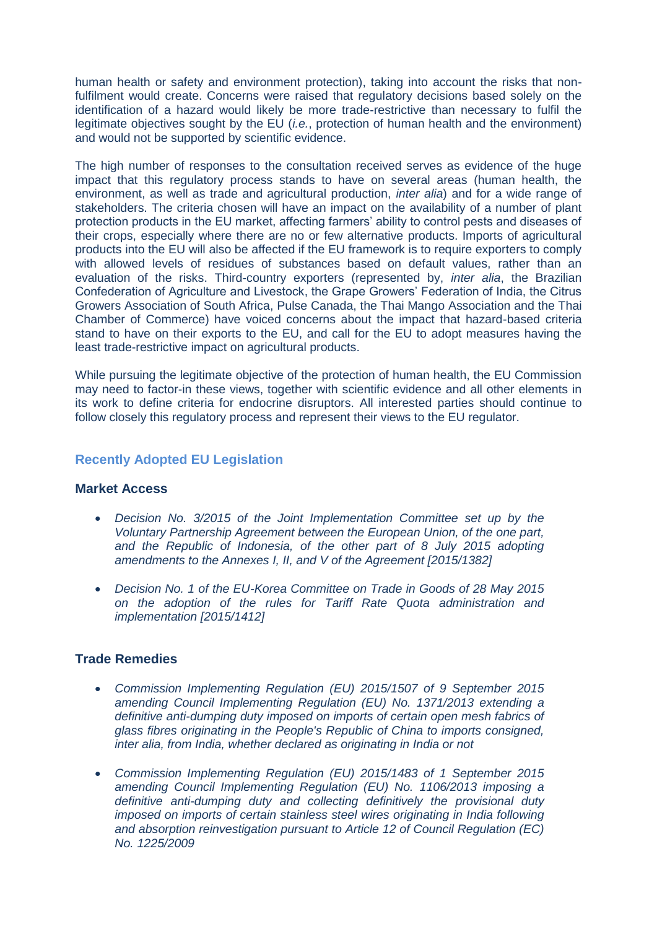human health or safety and environment protection), taking into account the risks that nonfulfilment would create. Concerns were raised that regulatory decisions based solely on the identification of a hazard would likely be more trade-restrictive than necessary to fulfil the legitimate objectives sought by the EU (*i.e.*, protection of human health and the environment) and would not be supported by scientific evidence.

The high number of responses to the consultation received serves as evidence of the huge impact that this regulatory process stands to have on several areas (human health, the environment, as well as trade and agricultural production, *inter alia*) and for a wide range of stakeholders. The criteria chosen will have an impact on the availability of a number of plant protection products in the EU market, affecting farmers' ability to control pests and diseases of their crops, especially where there are no or few alternative products. Imports of agricultural products into the EU will also be affected if the EU framework is to require exporters to comply with allowed levels of residues of substances based on default values, rather than an evaluation of the risks. Third-country exporters (represented by, *inter alia*, the Brazilian Confederation of Agriculture and Livestock, the Grape Growers' Federation of India, the Citrus Growers Association of South Africa, Pulse Canada, the Thai Mango Association and the Thai Chamber of Commerce) have voiced concerns about the impact that hazard-based criteria stand to have on their exports to the EU, and call for the EU to adopt measures having the least trade-restrictive impact on agricultural products.

While pursuing the legitimate objective of the protection of human health, the EU Commission may need to factor-in these views, together with scientific evidence and all other elements in its work to define criteria for endocrine disruptors. All interested parties should continue to follow closely this regulatory process and represent their views to the EU regulator.

## <span id="page-10-0"></span>**Recently Adopted EU Legislation**

### **Market Access**

- *[Decision No. 3/2015 of the Joint Implementation Committee set up by the](http://eur-lex.europa.eu/legal-content/EN/AUTO/?uri=uriserv:OJ.L_.2015.213.01.0011.01.ENG)  [Voluntary Partnership Agreement between the European Union, of the one part,](http://eur-lex.europa.eu/legal-content/EN/AUTO/?uri=uriserv:OJ.L_.2015.213.01.0011.01.ENG)  [and the Republic of Indonesia, of the other part of 8 July 2015 adopting](http://eur-lex.europa.eu/legal-content/EN/AUTO/?uri=uriserv:OJ.L_.2015.213.01.0011.01.ENG)  [amendments to the Annexes I, II, and V of the Agreement \[2015/1382\]](http://eur-lex.europa.eu/legal-content/EN/AUTO/?uri=uriserv:OJ.L_.2015.213.01.0011.01.ENG)*
- *[Decision No. 1 of the EU-Korea Committee on Trade in Goods of 28 May 2015](http://eur-lex.europa.eu/legal-content/EN/AUTO/?uri=uriserv:OJ.L_.2015.219.01.0017.01.ENG)  [on the adoption of the rules for Tariff Rate Quota administration and](http://eur-lex.europa.eu/legal-content/EN/AUTO/?uri=uriserv:OJ.L_.2015.219.01.0017.01.ENG)  [implementation \[2015/1412\]](http://eur-lex.europa.eu/legal-content/EN/AUTO/?uri=uriserv:OJ.L_.2015.219.01.0017.01.ENG)*

## **Trade Remedies**

- *[Commission Implementing Regulation \(EU\) 2015/1507 of 9 September 2015](http://eur-lex.europa.eu/legal-content/EN/AUTO/?uri=uriserv:OJ.L_.2015.236.01.0001.01.ENG)  [amending Council Implementing Regulation \(EU\) No. 1371/2013 extending a](http://eur-lex.europa.eu/legal-content/EN/AUTO/?uri=uriserv:OJ.L_.2015.236.01.0001.01.ENG)  [definitive anti-dumping duty imposed on imports of certain open mesh fabrics of](http://eur-lex.europa.eu/legal-content/EN/AUTO/?uri=uriserv:OJ.L_.2015.236.01.0001.01.ENG)  [glass fibres originating in the People's Republic of China to imports consigned,](http://eur-lex.europa.eu/legal-content/EN/AUTO/?uri=uriserv:OJ.L_.2015.236.01.0001.01.ENG)  [inter alia, from India, whether declared as originating in India or not](http://eur-lex.europa.eu/legal-content/EN/AUTO/?uri=uriserv:OJ.L_.2015.236.01.0001.01.ENG)*
- *[Commission Implementing Regulation \(EU\) 2015/1483 of 1 September 2015](http://eur-lex.europa.eu/legal-content/EN/AUTO/?uri=uriserv:OJ.L_.2015.228.01.0001.01.ENG)  [amending Council Implementing Regulation \(EU\) No. 1106/2013 imposing a](http://eur-lex.europa.eu/legal-content/EN/AUTO/?uri=uriserv:OJ.L_.2015.228.01.0001.01.ENG)  [definitive anti-dumping duty and collecting definitively the provisional duty](http://eur-lex.europa.eu/legal-content/EN/AUTO/?uri=uriserv:OJ.L_.2015.228.01.0001.01.ENG)  [imposed on imports of certain stainless steel wires originating in India following](http://eur-lex.europa.eu/legal-content/EN/AUTO/?uri=uriserv:OJ.L_.2015.228.01.0001.01.ENG)  [and absorption reinvestigation pursuant to Article 12 of Council Regulation \(EC\)](http://eur-lex.europa.eu/legal-content/EN/AUTO/?uri=uriserv:OJ.L_.2015.228.01.0001.01.ENG)  [No. 1225/2009](http://eur-lex.europa.eu/legal-content/EN/AUTO/?uri=uriserv:OJ.L_.2015.228.01.0001.01.ENG)*